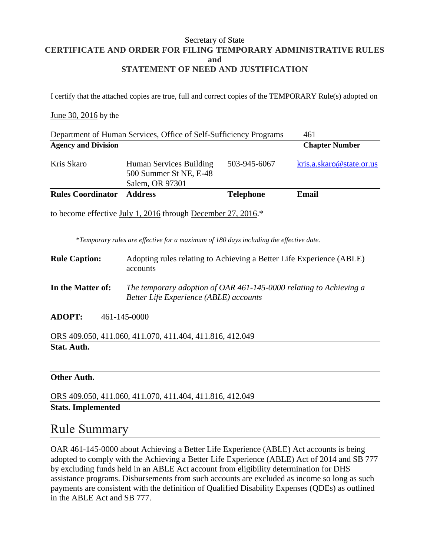#### Secretary of State **CERTIFICATE AND ORDER FOR FILING TEMPORARY ADMINISTRATIVE RULES and STATEMENT OF NEED AND JUSTIFICATION**

I certify that the attached copies are true, full and correct copies of the TEMPORARY Rule(s) adopted on

#### June 30, 2016 by the

| Department of Human Services, Office of Self-Sufficiency Programs |                                                                      |                  | 461                      |
|-------------------------------------------------------------------|----------------------------------------------------------------------|------------------|--------------------------|
| <b>Agency and Division</b>                                        |                                                                      |                  | <b>Chapter Number</b>    |
| Kris Skaro                                                        | Human Services Building<br>500 Summer St NE, E-48<br>Salem, OR 97301 | 503-945-6067     | kris.a.skaro@state.or.us |
| <b>Rules Coordinator</b>                                          | <b>Address</b>                                                       | <b>Telephone</b> | Email                    |

to become effective July 1, 2016 through December 27, 2016.\*

*\*Temporary rules are effective for a maximum of 180 days including the effective date.*

- **Rule Caption:** Adopting rules relating to Achieving a Better Life Experience (ABLE) accounts
- **In the Matter of:** *The temporary adoption of OAR 461-145-0000 relating to Achieving a Better Life Experience (ABLE) accounts*
- **ADOPT:** 461-145-0000

ORS 409.050, 411.060, 411.070, 411.404, 411.816, 412.049 **Stat. Auth.**

#### **Other Auth.**

ORS 409.050, 411.060, 411.070, 411.404, 411.816, 412.049 **Stats. Implemented**

### Rule Summary

OAR 461-145-0000 about Achieving a Better Life Experience (ABLE) Act accounts is being adopted to comply with the Achieving a Better Life Experience (ABLE) Act of 2014 and SB 777 by excluding funds held in an ABLE Act account from eligibility determination for DHS assistance programs. Disbursements from such accounts are excluded as income so long as such payments are consistent with the definition of Qualified Disability Expenses (QDEs) as outlined in the ABLE Act and SB 777.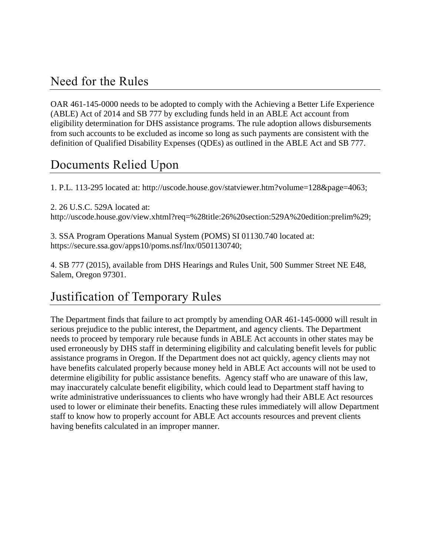## Need for the Rules

OAR 461-145-0000 needs to be adopted to comply with the Achieving a Better Life Experience (ABLE) Act of 2014 and SB 777 by excluding funds held in an ABLE Act account from eligibility determination for DHS assistance programs. The rule adoption allows disbursements from such accounts to be excluded as income so long as such payments are consistent with the definition of Qualified Disability Expenses (QDEs) as outlined in the ABLE Act and SB 777.

## Documents Relied Upon

1. P.L. 113-295 located at: http://uscode.house.gov/statviewer.htm?volume=128&page=4063;

2. 26 U.S.C. 529A located at: http://uscode.house.gov/view.xhtml?req=%28title:26%20section:529A%20edition:prelim%29;

3. SSA Program Operations Manual System (POMS) SI 01130.740 located at: https://secure.ssa.gov/apps10/poms.nsf/lnx/0501130740;

4. SB 777 (2015), available from DHS Hearings and Rules Unit, 500 Summer Street NE E48, Salem, Oregon 97301.

# Justification of Temporary Rules

The Department finds that failure to act promptly by amending OAR 461-145-0000 will result in serious prejudice to the public interest, the Department, and agency clients. The Department needs to proceed by temporary rule because funds in ABLE Act accounts in other states may be used erroneously by DHS staff in determining eligibility and calculating benefit levels for public assistance programs in Oregon. If the Department does not act quickly, agency clients may not have benefits calculated properly because money held in ABLE Act accounts will not be used to determine eligibility for public assistance benefits. Agency staff who are unaware of this law, may inaccurately calculate benefit eligibility, which could lead to Department staff having to write administrative underissuances to clients who have wrongly had their ABLE Act resources used to lower or eliminate their benefits. Enacting these rules immediately will allow Department staff to know how to properly account for ABLE Act accounts resources and prevent clients having benefits calculated in an improper manner.